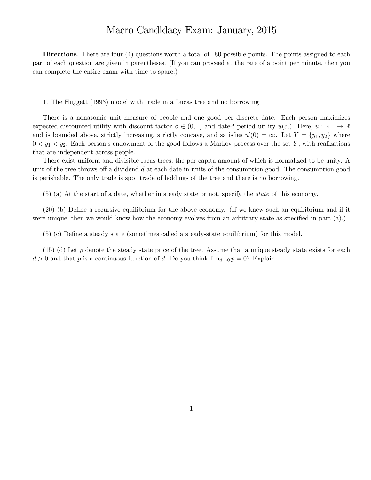## Macro Candidacy Exam: January, 2015

Directions. There are four (4) questions worth a total of 180 possible points. The points assigned to each part of each question are given in parentheses. (If you can proceed at the rate of a point per minute, then you can complete the entire exam with time to spare.)

1. The Huggett (1993) model with trade in a Lucas tree and no borrowing

There is a nonatomic unit measure of people and one good per discrete date. Each person maximizes expected discounted utility with discount factor  $\beta \in (0,1)$  and date-t period utility  $u(c_t)$ . Here,  $u : \mathbb{R}_+ \to \mathbb{R}$ and is bounded above, strictly increasing, strictly concave, and satisfies  $u'(0) = \infty$ . Let  $Y = \{y_1, y_2\}$  where  $0 < y_1 < y_2$ . Each person's endowment of the good follows a Markov process over the set Y, with realizations that are independent across people.

There exist uniform and divisible lucas trees, the per capita amount of which is normalized to be unity. A unit of the tree throws off a dividend  $d$  at each date in units of the consumption good. The consumption good is perishable. The only trade is spot trade of holdings of the tree and there is no borrowing.

(5) (a) At the start of a date, whether in steady state or not, specify the state of this economy.

 $(20)$  (b) Define a recursive equilibrium for the above economy. (If we knew such an equilibrium and if it were unique, then we would know how the economy evolves from an arbitrary state as specified in part  $(a)$ .)

(5) (c) DeÖne a steady state (sometimes called a steady-state equilibrium) for this model.

 $(15)$  (d) Let p denote the steady state price of the tree. Assume that a unique steady state exists for each  $d > 0$  and that p is a continuous function of d. Do you think  $\lim_{d\to 0} p = 0$ ? Explain.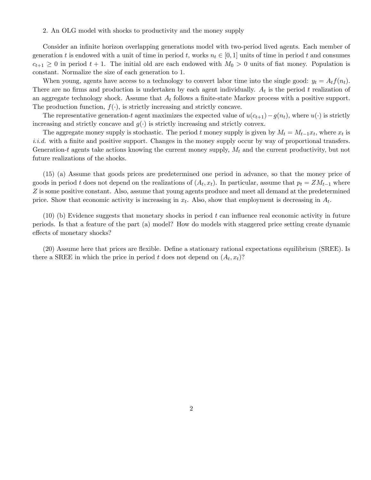## 2. An OLG model with shocks to productivity and the money supply

Consider an infinite horizon overlapping generations model with two-period lived agents. Each member of generation t is endowed with a unit of time in period t, works  $n_t \in [0, 1]$  units of time in period t and consumes  $c_{t+1} \geq 0$  in period  $t + 1$ . The initial old are each endowed with  $M_0 > 0$  units of fiat money. Population is constant. Normalize the size of each generation to 1.

When young, agents have access to a technology to convert labor time into the single good:  $y_t = A_t f(n_t)$ . There are no firms and production is undertaken by each agent individually.  $A_t$  is the period t realization of an aggregate technology shock. Assume that  $A_t$  follows a finite-state Markov process with a positive support. The production function,  $f(\cdot)$ , is strictly increasing and strictly concave.

The representative generation-t agent maximizes the expected value of  $u(c_{t+1})-g(n_t)$ , where  $u(\cdot)$  is strictly increasing and strictly concave and  $g(\cdot)$  is strictly increasing and strictly convex.

The aggregate money supply is stochastic. The period t money supply is given by  $M_t = M_{t-1}x_t$ , where  $x_t$  is *i.i.d.* with a finite and positive support. Changes in the money supply occur by way of proportional transfers. Generation-t agents take actions knowing the current money supply,  $M_t$  and the current productivity, but not future realizations of the shocks.

(15) (a) Assume that goods prices are predetermined one period in advance, so that the money price of goods in period t does not depend on the realizations of  $(A_t, x_t)$ . In particular, assume that  $p_t = Z M_{t-1}$  where Z is some positive constant. Also, assume that young agents produce and meet all demand at the predetermined price. Show that economic activity is increasing in  $x_t$ . Also, show that employment is decreasing in  $A_t$ .

 $(10)$  (b) Evidence suggests that monetary shocks in period t can influence real economic activity in future periods. Is that a feature of the part (a) model? How do models with staggered price setting create dynamic effects of monetary shocks?

(20) Assume here that prices are flexible. Define a stationary rational expectations equilibrium (SREE). Is there a SREE in which the price in period t does not depend on  $(A_t, x_t)$ ?